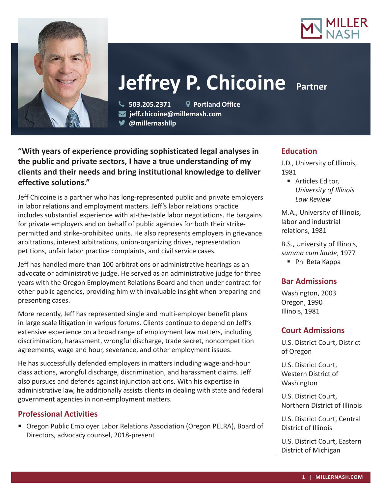



# **Jeffrey P. Chicoine Partner**

 **503.205.2371 Portland Office jeff.chicoine@millernash.com** 

**@millernashllp** 

**"With years of experience providing sophisticated legal analyses in the public and private sectors, I have a true understanding of my clients and their needs and bring institutional knowledge to deliver effective solutions."**

Jeff Chicoine is a partner who has long-represented public and private employers in labor relations and employment matters. Jeff's labor relations practice includes substantial experience with at-the-table labor negotiations. He bargains for private employers and on behalf of public agencies for both their strikepermitted and strike-prohibited units. He also represents employers in grievance arbitrations, interest arbitrations, union-organizing drives, representation petitions, unfair labor practice complaints, and civil service cases.

Jeff has handled more than 100 arbitrations or administrative hearings as an advocate or administrative judge. He served as an administrative judge for three years with the Oregon Employment Relations Board and then under contract for other public agencies, providing him with invaluable insight when preparing and presenting cases.

More recently, Jeff has represented single and multi-employer benefit plans in large scale litigation in various forums. Clients continue to depend on Jeff's extensive experience on a broad range of employment law matters, including discrimination, harassment, wrongful discharge, trade secret, noncompetition agreements, wage and hour, severance, and other employment issues.

He has successfully defended employers in matters including wage-and-hour class actions, wrongful discharge, discrimination, and harassment claims. Jeff also pursues and defends against injunction actions. With his expertise in administrative law, he additionally assists clients in dealing with state and federal government agencies in non-employment matters.

# **Professional Activities**

 Oregon Public Employer Labor Relations Association (Oregon PELRA), Board of Directors, advocacy counsel, 2018-present

# **Education**

J.D., University of Illinois, 1981

■ Articles Editor, *University of Illinois Law Review*

M.A., University of Illinois, labor and industrial relations, 1981

B.S., University of Illinois, *summa cum laude*, 1977

■ Phi Beta Kappa

## **Bar Admissions**

Washington, 2003 Oregon, 1990 Illinois, 1981

## **Court Admissions**

U.S. District Court, District of Oregon

U.S. District Court, Western District of Washington

U.S. District Court, Northern District of Illinois

U.S. District Court, Central District of Illinois

U.S. District Court, Eastern District of Michigan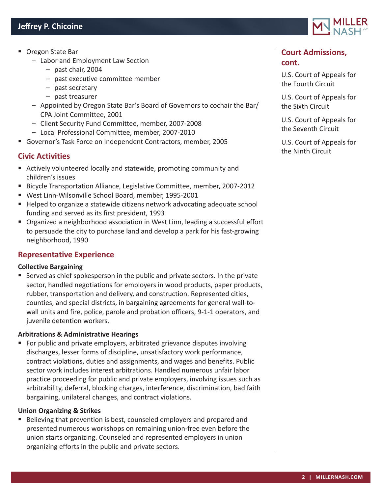- Oregon State Bar
	- Labor and Employment Law Section
		- past chair, 2004
		- past executive committee member
		- past secretary
		- past treasurer
	- Appointed by Oregon State Bar's Board of Governors to cochair the Bar/ CPA Joint Committee, 2001
	- Client Security Fund Committee, member, 2007-2008
	- Local Professional Committee, member, 2007-2010
- Governor's Task Force on Independent Contractors, member, 2005

## **Civic Activities**

- Actively volunteered locally and statewide, promoting community and children's issues
- Bicycle Transportation Alliance, Legislative Committee, member, 2007-2012
- West Linn-Wilsonville School Board, member, 1995-2001
- Helped to organize a statewide citizens network advocating adequate school funding and served as its first president, 1993
- **Diamage 3** Organized a neighborhood association in West Linn, leading a successful effort to persuade the city to purchase land and develop a park for his fast-growing neighborhood, 1990

## **Representative Experience**

## **Collective Bargaining**

 Served as chief spokesperson in the public and private sectors. In the private sector, handled negotiations for employers in wood products, paper products, rubber, transportation and delivery, and construction. Represented cities, counties, and special districts, in bargaining agreements for general wall-towall units and fire, police, parole and probation officers, 9-1-1 operators, and juvenile detention workers.

## **Arbitrations & Administrative Hearings**

**For public and private employers, arbitrated grievance disputes involving** discharges, lesser forms of discipline, unsatisfactory work performance, contract violations, duties and assignments, and wages and benefits. Public sector work includes interest arbitrations. Handled numerous unfair labor practice proceeding for public and private employers, involving issues such as arbitrability, deferral, blocking charges, interference, discrimination, bad faith bargaining, unilateral changes, and contract violations.

## **Union Organizing & Strikes**

Believing that prevention is best, counseled employers and prepared and presented numerous workshops on remaining union-free even before the union starts organizing. Counseled and represented employers in union organizing efforts in the public and private sectors.



# **Court Admissions, cont.**

U.S. Court of Appeals for the Fourth Circuit

U.S. Court of Appeals for the Sixth Circuit

U.S. Court of Appeals for the Seventh Circuit

U.S. Court of Appeals for the Ninth Circuit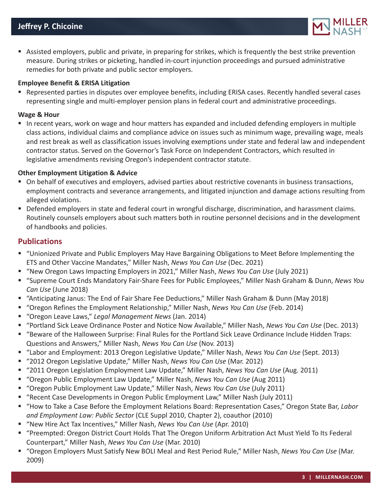

 Assisted employers, public and private, in preparing for strikes, which is frequently the best strike prevention measure. During strikes or picketing, handled in-court injunction proceedings and pursued administrative remedies for both private and public sector employers.

## **Employee Benefit & ERISA Litigation**

 Represented parties in disputes over employee benefits, including ERISA cases. Recently handled several cases representing single and multi-employer pension plans in federal court and administrative proceedings.

#### **Wage & Hour**

In recent years, work on wage and hour matters has expanded and included defending employers in multiple class actions, individual claims and compliance advice on issues such as minimum wage, prevailing wage, meals and rest break as well as classification issues involving exemptions under state and federal law and independent contractor status. Served on the Governor's Task Force on Independent Contractors, which resulted in legislative amendments revising Oregon's independent contractor statute.

## **Other Employment Litigation & Advice**

- On behalf of executives and employers, advised parties about restrictive covenants in business transactions, employment contracts and severance arrangements, and litigated injunction and damage actions resulting from alleged violations.
- Defended employers in state and federal court in wrongful discharge, discrimination, and harassment claims. Routinely counsels employers about such matters both in routine personnel decisions and in the development of handbooks and policies.

## **Publications**

- "Unionized Private and Public Employers May Have Bargaining Obligations to Meet Before Implementing the ETS and Other Vaccine Mandates," Miller Nash, *News You Can Use* (Dec. 2021)
- "New Oregon Laws Impacting Employers in 2021," Miller Nash, *News You Can Use* (July 2021)
- "Supreme Court Ends Mandatory Fair-Share Fees for Public Employees," Miller Nash Graham & Dunn, *News You Can Use* (June 2018)
- "Anticipating Janus: The End of Fair Share Fee Deductions," Miller Nash Graham & Dunn (May 2018)
- "Oregon Refines the Employment Relationship," Miller Nash, *News You Can Use* (Feb. 2014)
- "Oregon Leave Laws," *Legal Management News* (Jan. 2014)
- "Portland Sick Leave Ordinance Poster and Notice Now Available," Miller Nash, *News You Can Use* (Dec. 2013)
- "Beware of the Halloween Surprise: Final Rules for the Portland Sick Leave Ordinance Include Hidden Traps: Questions and Answers," Miller Nash, *News You Can Use* (Nov. 2013)
- "Labor and Employment: 2013 Oregon Legislative Update," Miller Nash, *News You Can Use* (Sept. 2013)
- "2012 Oregon Legislative Update," Miller Nash, *News You Can Use* (Mar. 2012)
- "2011 Oregon Legislation Employment Law Update," Miller Nash, *News You Can Use* (Aug. 2011)
- "Oregon Public Employment Law Update," Miller Nash, *News You Can Use* (Aug 2011)
- "Oregon Public Employment Law Update," Miller Nash, *News You Can Use* (July 2011)
- "Recent Case Developments in Oregon Public Employment Law," Miller Nash (July 2011)
- "How to Take a Case Before the Employment Relations Board: Representation Cases," Oregon State Bar, *Labor and Employment Law: Public Sector* (CLE Suppl 2010, Chapter 2), coauthor (2010)
- "New Hire Act Tax Incentives," Miller Nash, *News You Can Use* (Apr. 2010)
- "Preempted: Oregon District Court Holds That The Oregon Uniform Arbitration Act Must Yield To Its Federal Counterpart," Miller Nash, *News You Can Use* (Mar. 2010)
- "Oregon Employers Must Satisfy New BOLI Meal and Rest Period Rule," Miller Nash, *News You Can Use* (Mar. 2009)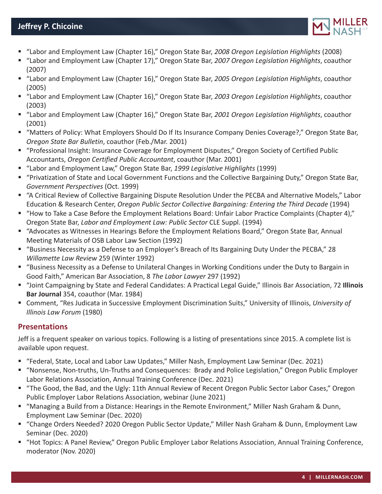

- "Labor and Employment Law (Chapter 16)," Oregon State Bar, *2008 Oregon Legislation Highlights* (2008)
- "Labor and Employment Law (Chapter 17)," Oregon State Bar, *2007 Oregon Legislation Highlights*, coauthor (2007)
- "Labor and Employment Law (Chapter 16)," Oregon State Bar, *2005 Oregon Legislation Highlights*, coauthor (2005)
- "Labor and Employment Law (Chapter 16)," Oregon State Bar, *2003 Oregon Legislation Highlights*, coauthor (2003)
- "Labor and Employment Law (Chapter 16)," Oregon State Bar, *2001 Oregon Legislation Highlights*, coauthor (2001)
- "Matters of Policy: What Employers Should Do If Its Insurance Company Denies Coverage?," Oregon State Bar, *Oregon State Bar Bulletin*, coauthor (Feb./Mar. 2001)
- "Professional Insight: Insurance Coverage for Employment Disputes," Oregon Society of Certified Public Accountants, *Oregon Certified Public Accountant*, coauthor (Mar. 2001)
- "Labor and Employment Law," Oregon State Bar, *1999 Legislative Highlights* (1999)
- "Privatization of State and Local Government Functions and the Collective Bargaining Duty," Oregon State Bar, *Government Perspectives* (Oct. 1999)
- "A Critical Review of Collective Bargaining Dispute Resolution Under the PECBA and Alternative Models," Labor Education & Research Center, *Oregon Public Sector Collective Bargaining: Entering the Third Decade* (1994)
- "How to Take a Case Before the Employment Relations Board: Unfair Labor Practice Complaints (Chapter 4)," Oregon State Bar, *Labor and Employment Law: Public Sector* CLE Suppl. (1994)
- "Advocates as Witnesses in Hearings Before the Employment Relations Board," Oregon State Bar, Annual Meeting Materials of OSB Labor Law Section (1992)
- "Business Necessity as a Defense to an Employer's Breach of Its Bargaining Duty Under the PECBA," 28 *Willamette Law Review* 259 (Winter 1992)
- "Business Necessity as a Defense to Unilateral Changes in Working Conditions under the Duty to Bargain in Good Faith," American Bar Association, 8 *The Labor Lawyer* 297 (1992)
- "Joint Campaigning by State and Federal Candidates: A Practical Legal Guide," Illinois Bar Association, 72 **Illinois Bar Journal** 354, coauthor (Mar. 1984)
- Comment, "Res Judicata in Successive Employment Discrimination Suits," University of Illinois, *University of Illinois Law Forum* (1980)

# **Presentations**

Jeff is a frequent speaker on various topics. Following is a listing of presentations since 2015. A complete list is available upon request.

- "Federal, State, Local and Labor Law Updates," Miller Nash, Employment Law Seminar (Dec. 2021)
- "Nonsense, Non-truths, Un-Truths and Consequences: Brady and Police Legislation," Oregon Public Employer Labor Relations Association, Annual Training Conference (Dec. 2021)
- "The Good, the Bad, and the Ugly: 11th Annual Review of Recent Oregon Public Sector Labor Cases," Oregon Public Employer Labor Relations Association, webinar (June 2021)
- "Managing a Build from a Distance: Hearings in the Remote Environment," Miller Nash Graham & Dunn, Employment Law Seminar (Dec. 2020)
- "Change Orders Needed? 2020 Oregon Public Sector Update," Miller Nash Graham & Dunn, Employment Law Seminar (Dec. 2020)
- "Hot Topics: A Panel Review," Oregon Public Employer Labor Relations Association, Annual Training Conference, moderator (Nov. 2020)